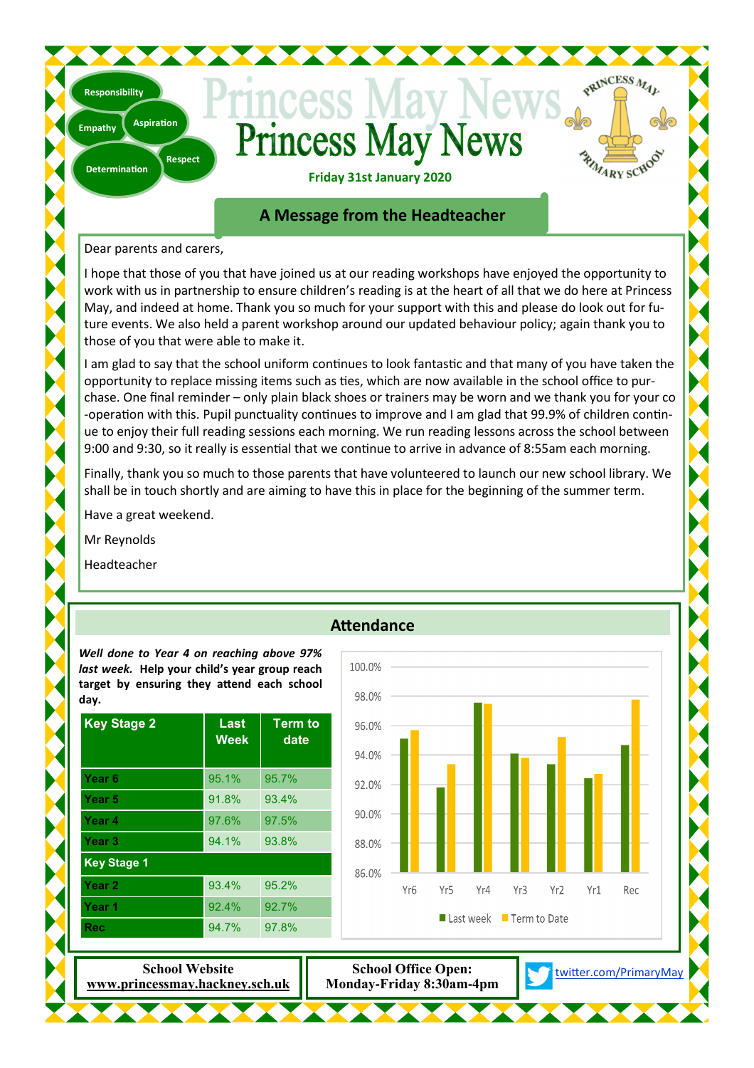# Princess May N **dews**



PRINCESS MAL

**Friday 31st January 2020** 

# **A Message from the Headteacher**

### Dear parents and carers,

**Aspiration** 

**Empathy** 

**Determination** 

**Responsibility** 

**Respect** 

I hope that those of you that have joined us at our reading workshops have enjoyed the opportunity to work with us in partnership to ensure children's reading is at the heart of all that we do here at Princess May, and indeed at home. Thank you so much for your support with this and please do look out for future events. We also held a parent workshop around our updated behaviour policy; again thank you to those of you that were able to make it.

I am glad to say that the school uniform continues to look fantastic and that many of you have taken the opportunity to replace missing items such as ties, which are now available in the school office to purchase. One final reminder – only plain black shoes or trainers may be worn and we thank you for your co -operation with this. Pupil punctuality continues to improve and I am glad that 99.9% of children continue to enjoy their full reading sessions each morning. We run reading lessons across the school between 9:00 and 9:30, so it really is essential that we continue to arrive in advance of 8:55am each morning.

Finally, thank you so much to those parents that have volunteered to launch our new school library. We shall be in touch shortly and are aiming to have this in place for the beginning of the summer term.

Have a great weekend.

Mr Reynolds

Headteacher



# **Attendance**